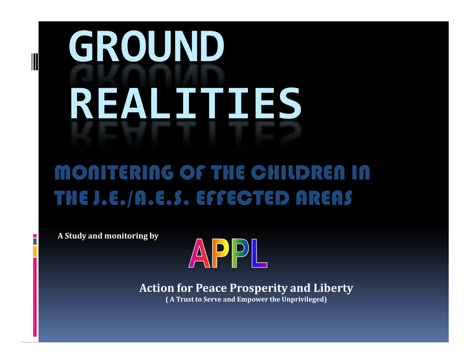# **GROUND REALITIES**

#### MONITERING OF THE CHILDREN IN THE J.E./A.E.S. EFFECTED AREAS

**A Study and monitoring by**



**Action for Peace Prosperity and Liberty**

**( A Trust to Serve and Empower the Unprivileged)**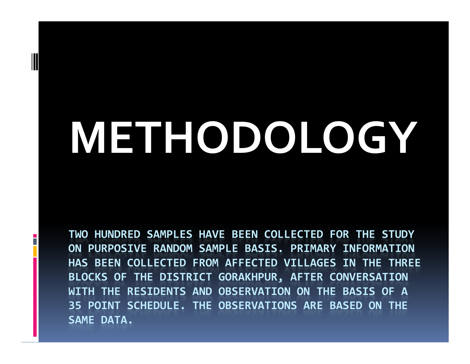## **METHODOLOGY**

**TWO HUNDRED SAMPLES HAVE BEEN COLLECTED FOR THE STUDY ON PURPOSIVE RANDOM SAMPLE BASIS. PRIMARY INFORMATION HAS BEEN COLLECTED FROM AFFECTED VILLAGES IN THE THREE BLOCKS OF THE DISTRICT GORAKHPUR, AFTER CONVERSATION WITH THE RESIDENTS AND OBSERVATION ON THE BASIS OF A 35 POINT SCHEDULE. THE OBSERVATIONS ARE BASED ON THE SAME DATA.**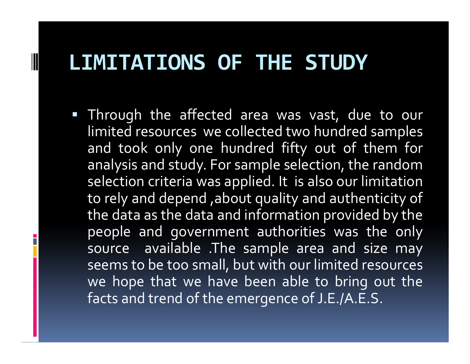#### **LIMITATIONS OF THE STUDY**

H

 Through the affected area was vast, due to our limited resources we collected two hundred samples and took only one hundred fifty out of them for analysis and study. For sample selection, the randomselection criteria was applied. It is also our limitation<br>. to rely and depend ,about quality and authenticity of the data as the data and information provided by the people and governmen<sup>t</sup> authorities was the only source available .The sample area and size may seems to be too small, but with our limited resources we hope that we have been able to bring out thefacts and trend of the emergence of J.E./A.E.S.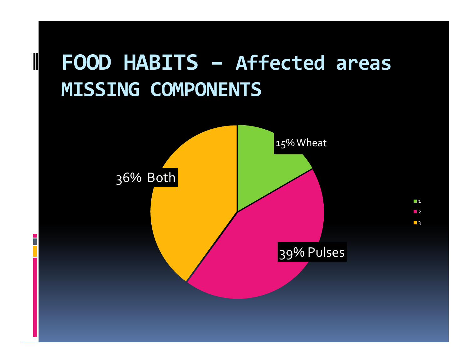#### **FOOD HABITS – Affected areas MISSING COMPONENTS**

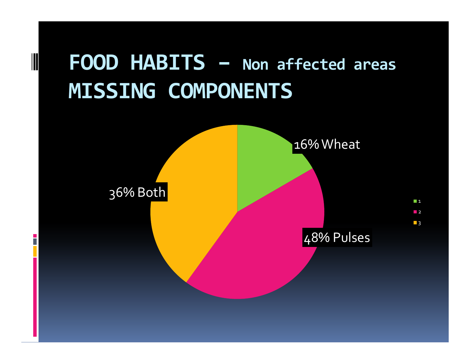

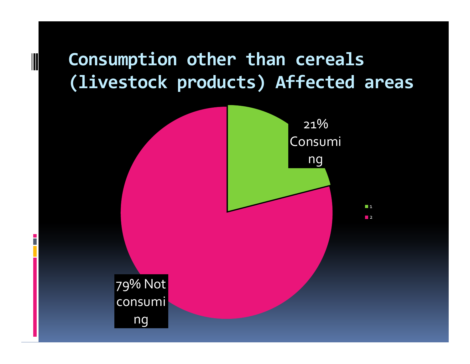#### **Consumption other than cereals (livestock products) Affected areas**

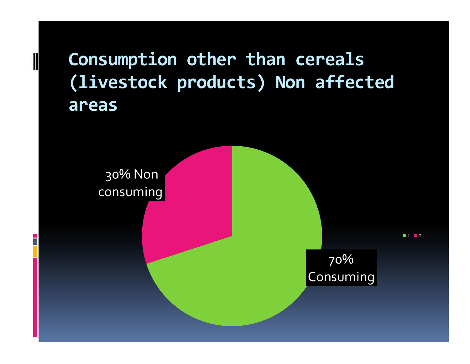**Consumption other than cereals (livestock products) Non affected areas**

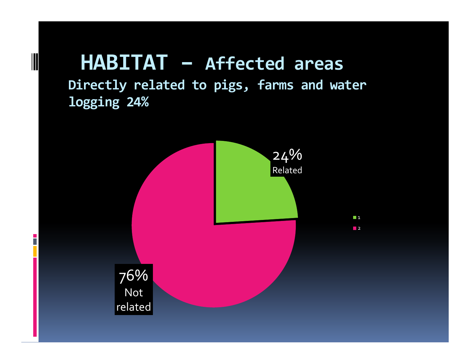## **HABITAT – Affected areas**

n

**Directly related to pigs, farms and water logging 24%**

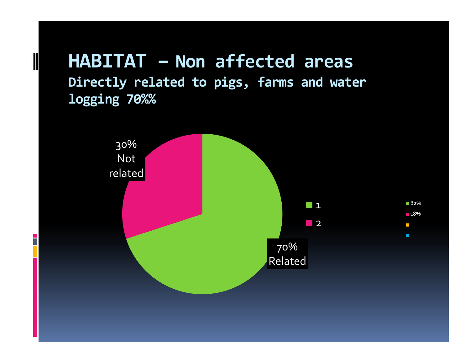#### **HABITAT – Non affected areas Directly related to pigs, farms and water logging 70%%**

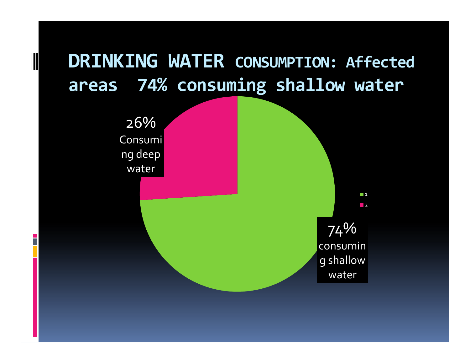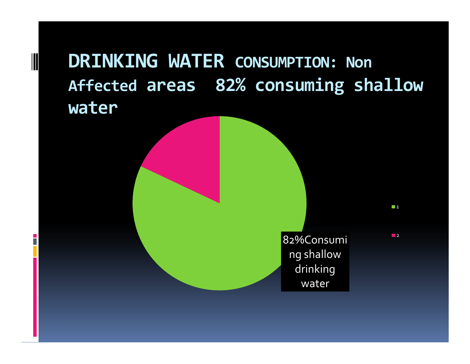#### **DRINKING WATER CONSUMPTION: Non Affected areas 82% consuming shallow water**

n.

82%Consuming shallow drinking water

**2** 

 $\Box$  1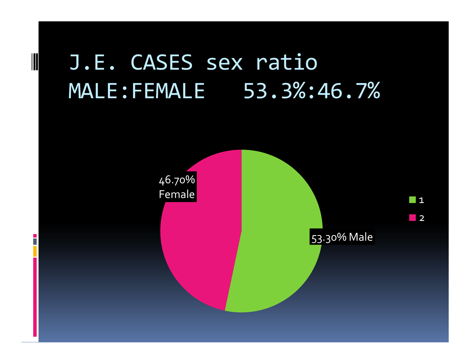### J.E. CASES sex ratioMALE:FEMALE 53.3%:46.7%

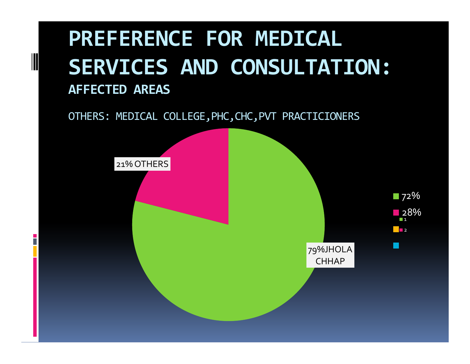#### **PREFERENCE FOR MEDICAL SERVICES AND CONSULTATION: AFFECTED AREAS**

OTHERS: MEDICAL COLLEGE,PHC,CHC,PVT PRACTICIONERS

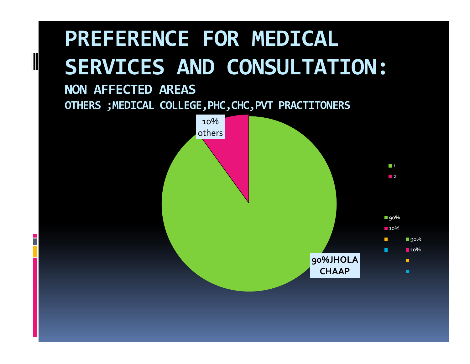### **PREFERENCE FOR MEDICAL SERVICES AND CONSULTATION:**

#### **NON AFFECTED AREASOTHERS ;MEDICAL COLLEGE,PHC,CHC,PVT PRACTITONERS**

n.

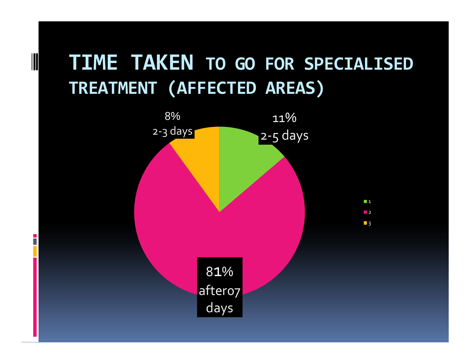#### **TIME TAKEN TO GO FOR SPECIALISED TREATMENT (AFFECTED AREAS)**

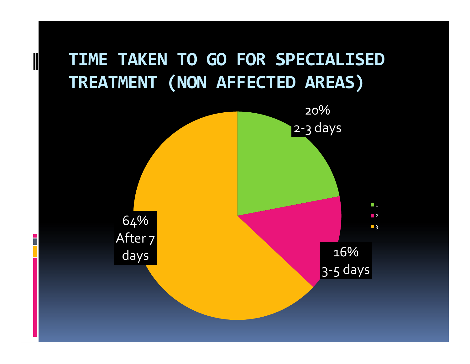

H

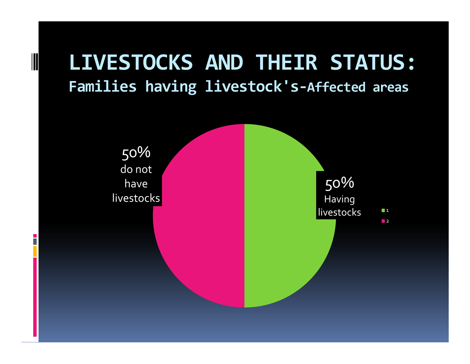#### **LIVESTOCKS AND THEIR STATUS:Families having livestock's-Affected areas**

n

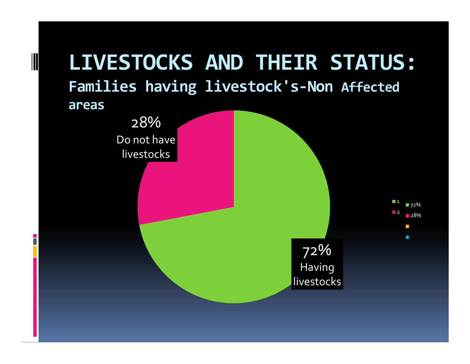#### **LIVESTOCKS AND THEIR STATUS:Families having livestock's-Non Affected areas**

n

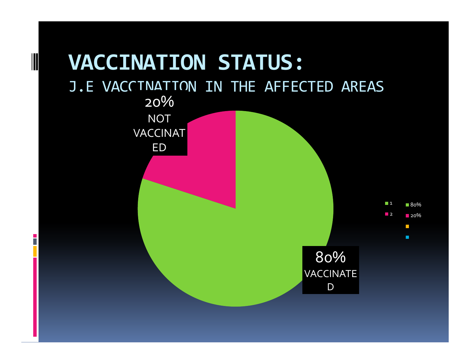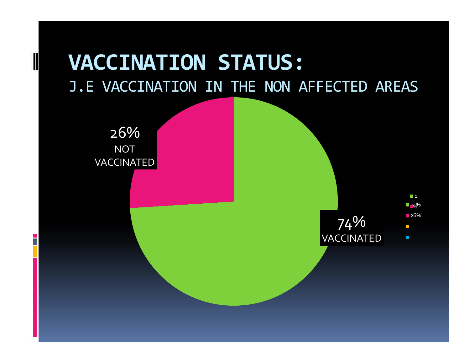#### **VACCINATION STATUS:**J.E VACCINATION IN THE NON AFFECTED AREAS

26% NOT VACCINATED

n

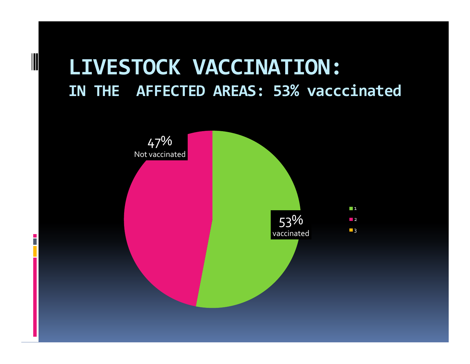#### **LIVESTOCK VACCINATION:IN THE AFFECTED AREAS: 53% vacccinated**

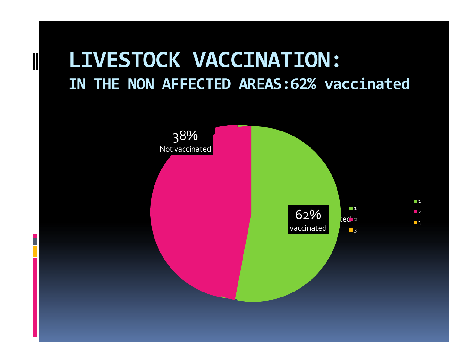#### **LIVESTOCK VACCINATION:IN THE NON AFFECTED AREAS:62% vaccinated**

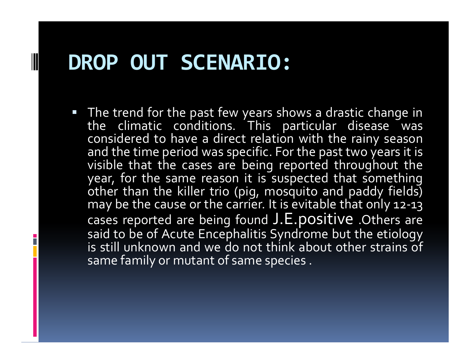#### **DROP OUT SCENARIO:**

F

• The trend for the past few years shows a drastic change in the climatic conditions. This particular disease was considered to have a direct relation with the rainy season and the time period was specific. For the pas<sup>t</sup> two years it is visible that the cases are being reported throughout the year, for the same reason it is suspected that something other than the killer trio (pig, mosquito and paddy fields) may be the cause or the carrier. It is evitable that only 12-13 cases reported are being found J.E.positive .Others are<br>said to be of Asute Ensephalitie Sundrame but the sticlesu said to be of Acute Encephalitis Syndrome but the etiology is still unknown and we do not think about other strains of same family or mutant of same species.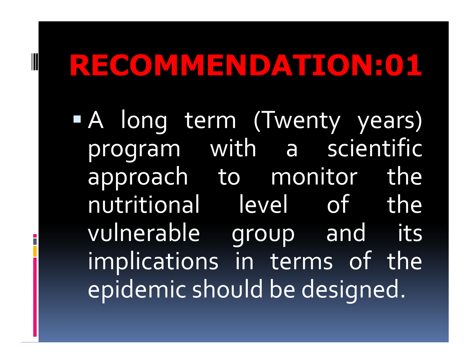H

 <sup>A</sup> long term (Twenty years) program with <sup>a</sup> scientific approach to monitor the nutritional level of the vulnerable group and its implications in terms of theepidemic should be designed.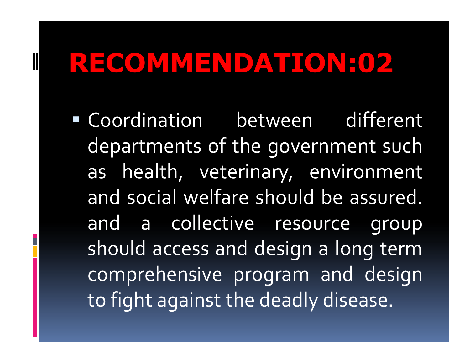**Contract Contract Contract Contract Contract Contract Contract Contract Contract Contract Contract Contract Co**  Coordination between different departments of the governmen<sup>t</sup> suchas health, veterinary, environmer health, veterinary, environment and social welfare should be assured. and a collective resource group should access and design <sup>a</sup> long termcomprehensive program and designto fight against the deadly disease.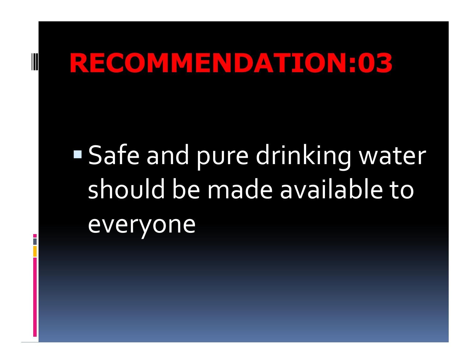**Safe and pure drinking water** should be made available to everyone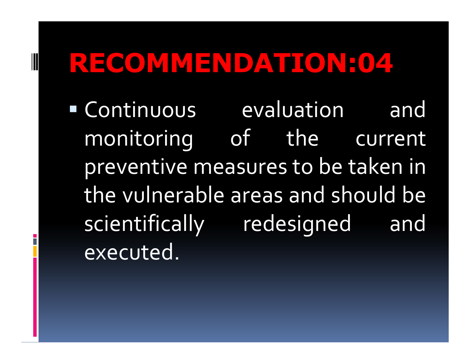Continuous evaluation and monitoring of the current preventive measures to be taken in the vulnerable areas and should be scientifically redesigned andexecuted.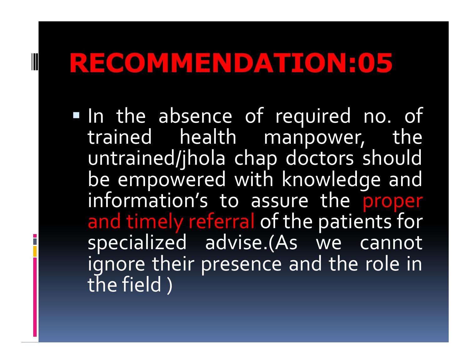$\blacksquare$ 

In the absence of required no. of trained health manpower, theuntrained/jhola chap doctors shouldbe empowered with knowledge and information's to assure the proper and timely referral of the patients for specialized advise.(As we cannot ignore their presence and the role in<br>the field \ the field )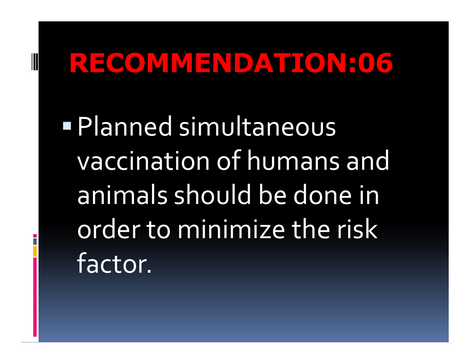Planned simultaneous vaccination of humans and animals should be done in order to minimize the risk factor.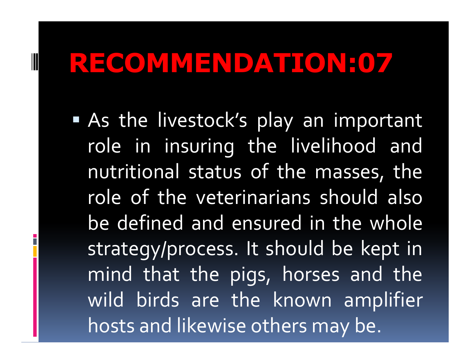**Contract Contract Contract Contract Contract Contract Contract Contract Contract Contract Contract Contract Co**  As the livestock's <sup>p</sup>lay an important role in insuring the livelihood and nutritional status of the masses, the role of the veterinarians should also be defined and ensured in the whole strategy/process. It should be kept in mind that the <sup>p</sup>igs, horses and the wild birds are the known amplifier hosts and likewise others may be.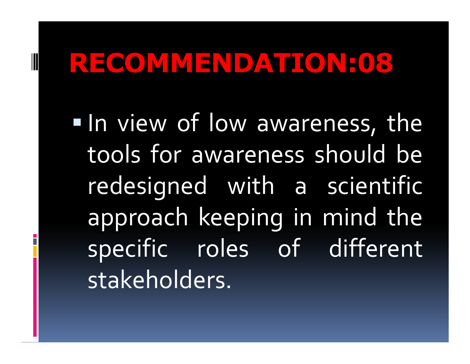$\blacksquare$  In view of low awareness, the tools for awareness should beredesigned with a scientifi aa scientific approac<sup>h</sup> keeping in mind the specific roles of different stakeholders.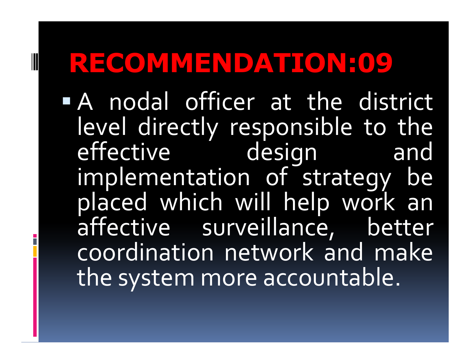<sup>A</sup> nodal officer at the district level directly responsible to the effective design and implementation of strategy be <sup>p</sup>laced which will help work anaffective surveillance, better coordination network and makethe system more accountable.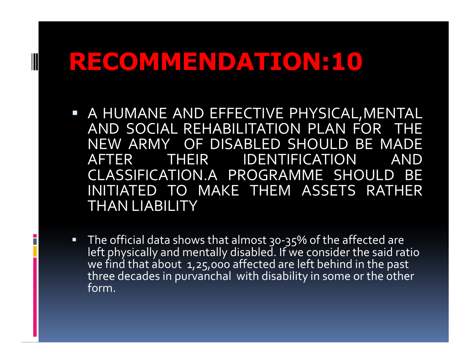- <sup>A</sup> HUMANE AND EFFECTIVE PHYSICAL,MENTAL AND SOCIAL REHABILITATION PLAN FOR THENEW ARMY OF DISABLED SHOULD BE MADE<br>AFFER THEIR IRENTIFICATION AND AFTER THEIR IDENTIFICATION CLASSIFICATION.A PROGRAMME SHOULD BE<br>INITIATED TO MAKE THEM ASSETS DATHED INITIATED TO MAKE THEM ASSETS RATHER<br>THANTIARILITY THAN LIABILITY
- $\Box$ ■ The official data shows that almost 30-35% of the affected are left physically and mentally disabled. If we consider the said ratio we find that about  $\,$ 1,25,000 affected are left behind in the past three decades in purvanchal with disability in some or the other form.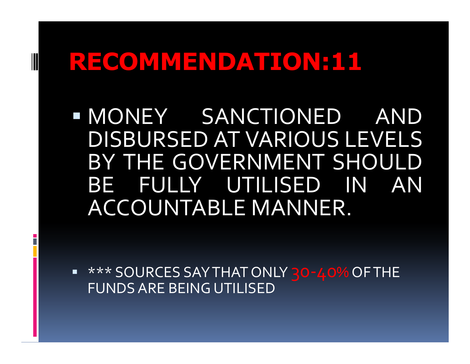MONEY SANCTIONED ANDDISBURSED AT VARIOUS LEVELS<br>DISBURSED AT VARIOUS LEVELS BY THE GOVERNMENT SHOULD<br>PELIUIW LITH ISER BE FULLY UTILISED IN AN<br>ACCOUNTABLE.MANNED ACCOUNTABLE MANNER.

■ \*\*\* SOURCES SAY THAT ONLY <mark>30-40%</mark> OF THE<br>FLINDS ARE REING LITILISED FUNDS ARE BEING UTILISED